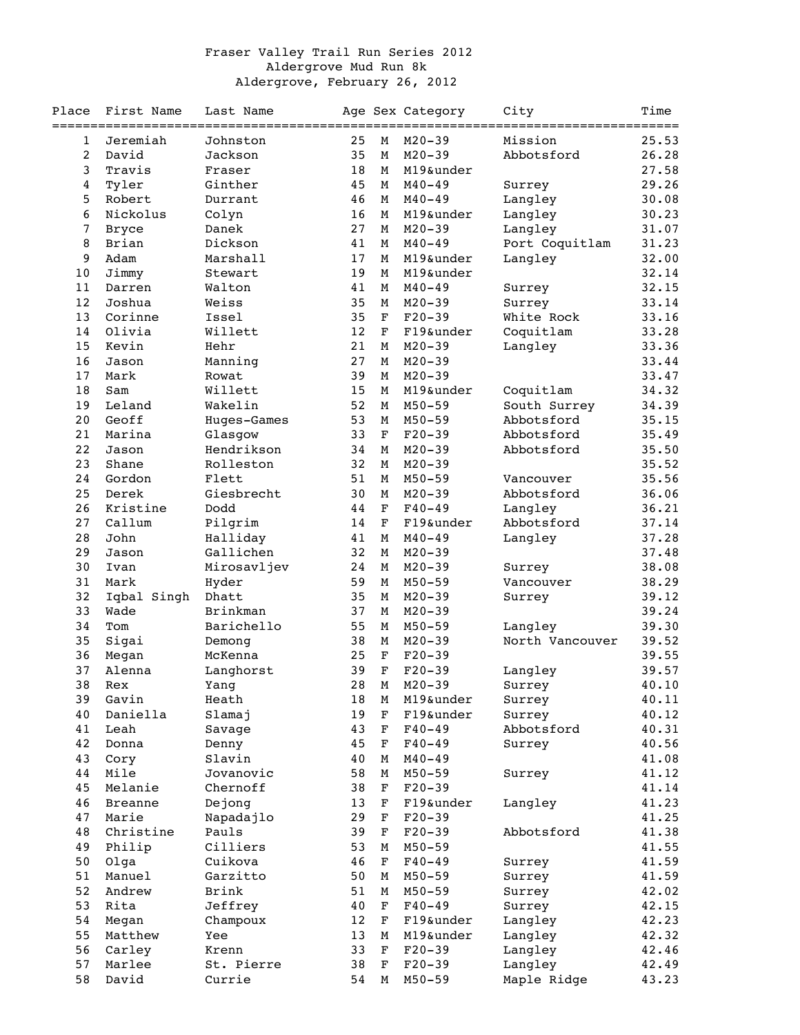## Fraser Valley Trail Run Series 2012 Aldergrove Mud Run 8k Aldergrove, February 26, 2012

| Place          | First Name     | Last Name         |    |             | Age Sex Category | City            | Time   |
|----------------|----------------|-------------------|----|-------------|------------------|-----------------|--------|
|                |                | ================= |    |             |                  |                 | ====== |
| 1              | Jeremiah       | Johnston          | 25 | M           | $M20 - 39$       | Mission         | 25.53  |
| $\overline{2}$ | David          | Jackson           | 35 | М           | $M20 - 39$       | Abbotsford      | 26.28  |
| 3              | Travis         | Fraser            | 18 | М           | M19&under        |                 | 27.58  |
| 4              | Tyler          | Ginther           | 45 | М           | $M40 - 49$       | Surrey          | 29.26  |
| 5              | Robert         | Durrant           | 46 | М           | $M40 - 49$       | Langley         | 30.08  |
| 6              | Nickolus       | Colyn             | 16 | М           | M19&under        | Langley         | 30.23  |
| 7              | <b>Bryce</b>   | Danek             | 27 | М           | $M20 - 39$       | Langley         | 31.07  |
| 8              | Brian          | Dickson           | 41 | М           | $M40 - 49$       | Port Coquitlam  | 31.23  |
| 9              | Adam           | Marshall          | 17 | М           | M19&under        | Langley         | 32.00  |
| 10             | Jimmy          | Stewart           | 19 | М           | M19&under        |                 | 32.14  |
| 11             | Darren         | Walton            | 41 | М           | $M40 - 49$       | Surrey          | 32.15  |
| 12             | Joshua         | Weiss             | 35 | М           | $M20 - 39$       | Surrey          | 33.14  |
| 13             | Corinne        | Issel             | 35 | $\mathbf F$ | $F20-39$         | White Rock      | 33.16  |
| 14             | Olivia         | Willett           | 12 | $\mathbf F$ | F19&under        | Coquitlam       | 33.28  |
| 15             | Kevin          | Hehr              | 21 | $\mathbf M$ | $M20 - 39$       | Langley         | 33.36  |
| 16             | Jason          | Manning           | 27 | M           | $M20 - 39$       |                 | 33.44  |
| 17             | Mark           | Rowat             | 39 | M           | $M20 - 39$       |                 | 33.47  |
| 18             | Sam            | Willett           | 15 | М           | M19&under        | Coquitlam       | 34.32  |
| 19             | Leland         | Wakelin           | 52 | М           | $M50 - 59$       | South Surrey    | 34.39  |
| 20             | Geoff          | Huges-Games       | 53 | М           | $M50 - 59$       | Abbotsford      | 35.15  |
| 21             | Marina         | Glasgow           | 33 | $\mathbf F$ | $F20-39$         | Abbotsford      | 35.49  |
| 22             | Jason          | Hendrikson        | 34 | М           | $M20 - 39$       | Abbotsford      | 35.50  |
| 23             | Shane          | Rolleston         | 32 | М           | $M20 - 39$       |                 | 35.52  |
| 24             | Gordon         | Flett             | 51 | М           | $M50 - 59$       |                 | 35.56  |
|                |                |                   |    |             |                  | Vancouver       |        |
| 25             | Derek          | Giesbrecht        | 30 | М           | $M20 - 39$       | Abbotsford      | 36.06  |
| 26             | Kristine       | Dodd              | 44 | $\mathbf F$ | $F40 - 49$       | Langley         | 36.21  |
| 27             | Callum         | Pilgrim           | 14 | F           | F19&under        | Abbotsford      | 37.14  |
| 28             | John           | Halliday          | 41 | М           | $M40 - 49$       | Langley         | 37.28  |
| 29             | Jason          | Gallichen         | 32 | М           | $M20 - 39$       |                 | 37.48  |
| 30             | Ivan           | Mirosavljev       | 24 | М           | $M20 - 39$       | Surrey          | 38.08  |
| 31             | Mark           | Hyder             | 59 | М           | $M50 - 59$       | Vancouver       | 38.29  |
| 32             | Iqbal Singh    | Dhatt             | 35 | $\mathbf M$ | $M20 - 39$       | Surrey          | 39.12  |
| 33             | Wade           | Brinkman          | 37 | М           | $M20 - 39$       |                 | 39.24  |
| 34             | Tom            | Barichello        | 55 | М           | $M50 - 59$       | Langley         | 39.30  |
| 35             | Sigai          | Demong            | 38 | М           | $M20 - 39$       | North Vancouver | 39.52  |
| 36             | Megan          | McKenna           | 25 | F           | $F20-39$         |                 | 39.55  |
| 37             | Alenna         | Langhorst         | 39 | F           | $F20-39$         | Langley         | 39.57  |
| 38             | Rex            | Yang              | 28 | M           | $M20 - 39$       | Surrey          | 40.10  |
| 39             | Gavin          | Heath             | 18 | М           | M19&under        | Surrey          | 40.11  |
| 40             | Daniella       | Slamaj            | 19 | F           | F19&under        | Surrey          | 40.12  |
| 41             | Leah           | Savage            | 43 | $\mathbf F$ | $F40 - 49$       | Abbotsford      | 40.31  |
| 42             | Donna          | Denny             | 45 | F           | $F40 - 49$       | Surrey          | 40.56  |
| 43             | Cory           | Slavin            | 40 | М           | $M40 - 49$       |                 | 41.08  |
| 44             | Mile           | Jovanovic         | 58 | М           | $M50 - 59$       | Surrey          | 41.12  |
| 45             | Melanie        | Chernoff          | 38 | F           | $F20 - 39$       |                 | 41.14  |
| 46             | <b>Breanne</b> | Dejong            | 13 | F           | F19&under        | Langley         | 41.23  |
| 47             | Marie          | Napadajlo         | 29 | $\mathbf F$ | $F20-39$         |                 | 41.25  |
| 48             | Christine      | Pauls             | 39 | $\mathbf F$ | $F20-39$         | Abbotsford      | 41.38  |
| 49             | Philip         | Cilliers          | 53 | М           | $M50 - 59$       |                 | 41.55  |
| 50             | Olga           | Cuikova           | 46 | F           | $F40 - 49$       | Surrey          | 41.59  |
| 51             | Manuel         | Garzitto          | 50 | М           | $M50 - 59$       | Surrey          | 41.59  |
| 52             | Andrew         | Brink             | 51 | М           | $M50 - 59$       | Surrey          | 42.02  |
| 53             | Rita           | Jeffrey           | 40 | F           | $F40 - 49$       | Surrey          | 42.15  |
| 54             | Megan          | Champoux          | 12 | $\mathbf F$ | F19&under        | Langley         | 42.23  |
| 55             | Matthew        | Yee               | 13 | M           | M19&under        | Langley         | 42.32  |
| 56             | Carley         | Krenn             | 33 | $\mathbf F$ | $F20-39$         | Langley         | 42.46  |
| 57             | Marlee         | St. Pierre        | 38 | $\mathbf F$ | $F20-39$         | Langley         | 42.49  |
| 58             | David          | Currie            | 54 | М           | $M50 - 59$       | Maple Ridge     | 43.23  |
|                |                |                   |    |             |                  |                 |        |